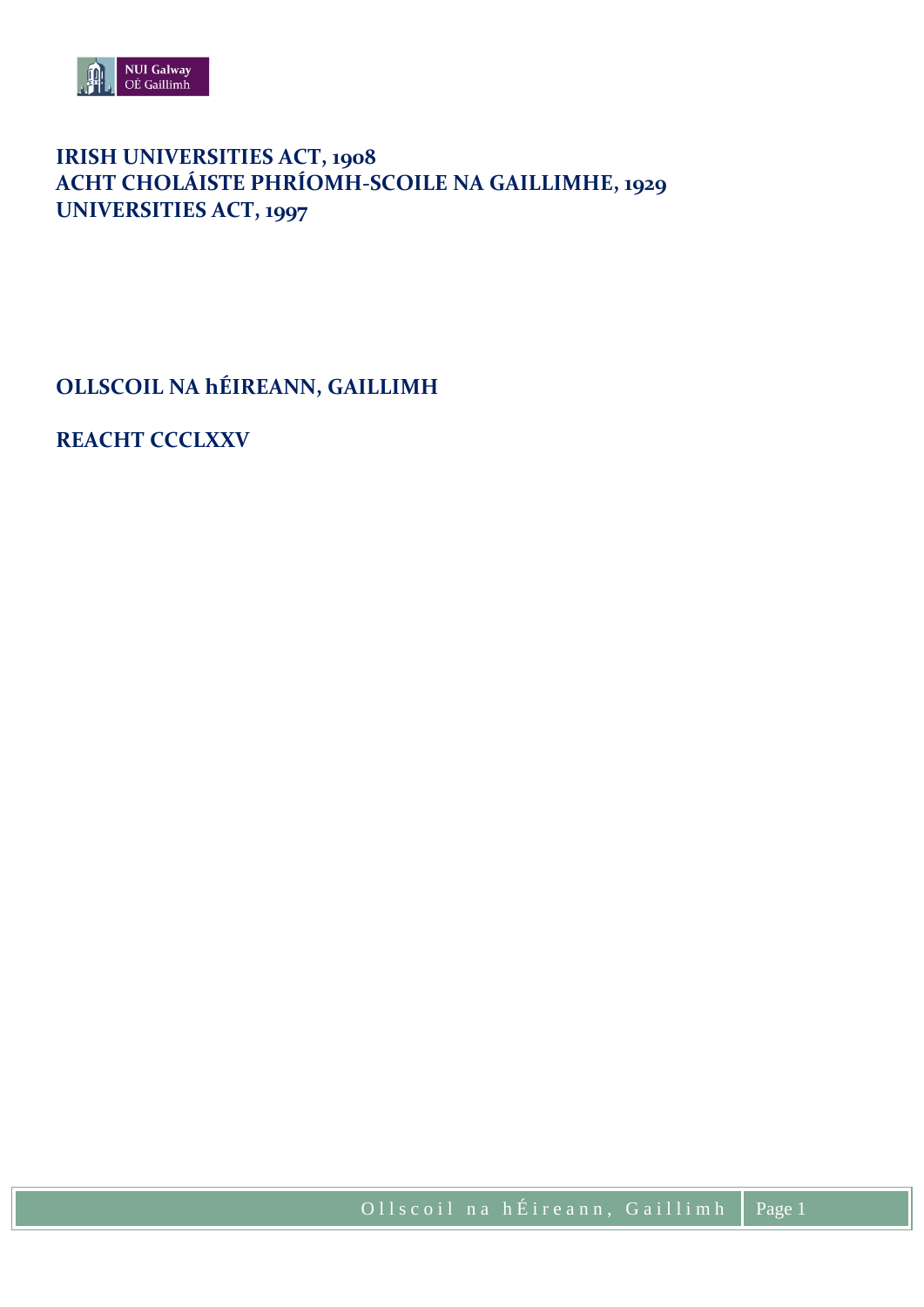

# **IRISH UNIVERSITIES ACT, 1908 ACHT CHOLÁISTE PHRÍOMH-SCOILE NA GAILLIMHE, 1929 UNIVERSITIES ACT, 1997**

**OLLSCOIL NA hÉIREANN, GAILLIMH**

**REACHT CCCLXXV**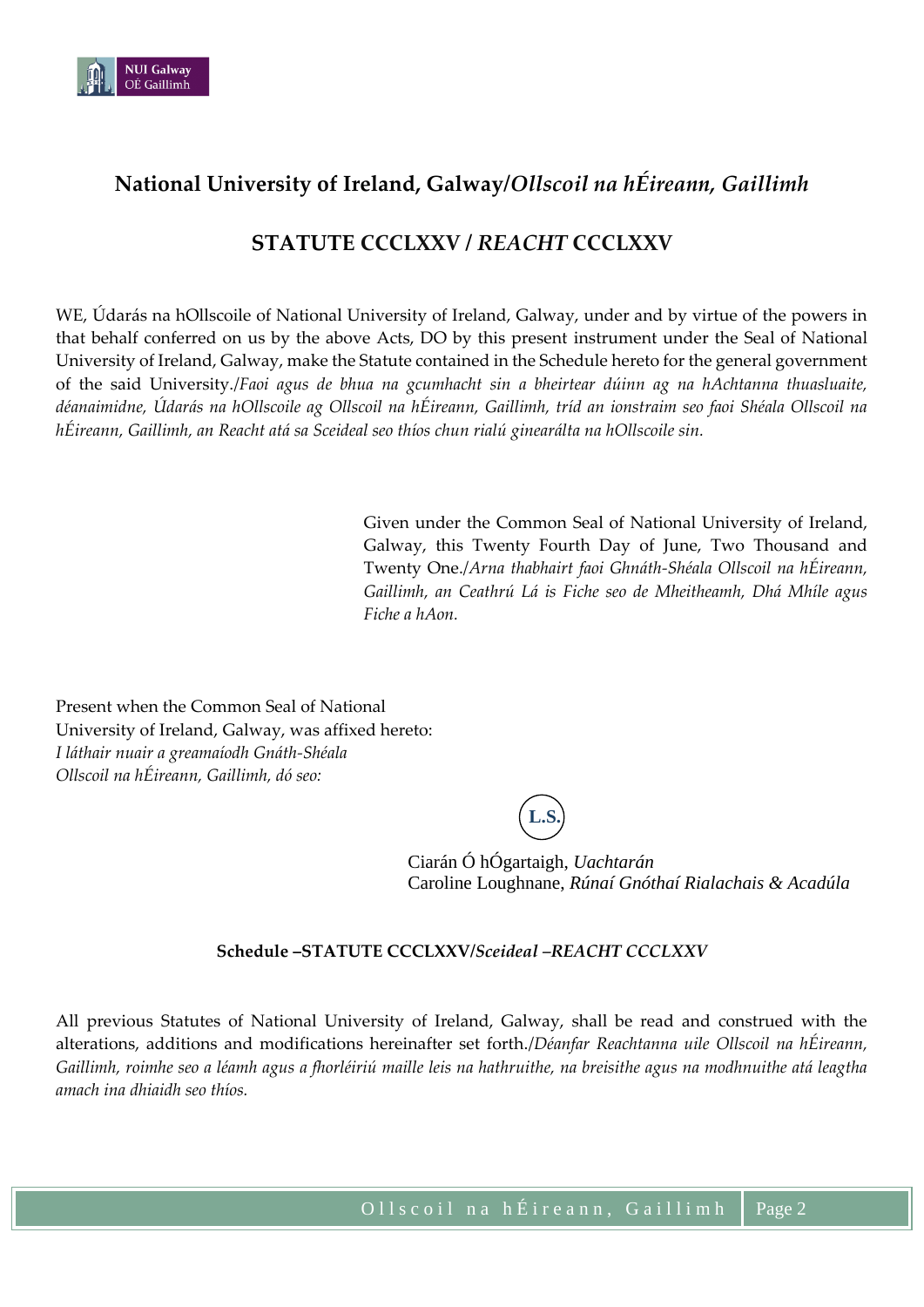

# **National University of Ireland, Galway/***Ollscoil na hÉireann, Gaillimh*

# **STATUTE CCCLXXV /** *REACHT* **CCCLXXV**

WE, Údarás na hOllscoile of National University of Ireland, Galway, under and by virtue of the powers in that behalf conferred on us by the above Acts, DO by this present instrument under the Seal of National University of Ireland, Galway, make the Statute contained in the Schedule hereto for the general government of the said University./*Faoi agus de bhua na gcumhacht sin a bheirtear dúinn ag na hAchtanna thuasluaite, déanaimidne, Údarás na hOllscoile ag Ollscoil na hÉireann, Gaillimh, tríd an ionstraim seo faoi Shéala Ollscoil na hÉireann, Gaillimh, an Reacht atá sa Sceideal seo thíos chun rialú ginearálta na hOllscoile sin.*

> Given under the Common Seal of National University of Ireland, Galway, this Twenty Fourth Day of June, Two Thousand and Twenty One./*Arna thabhairt faoi Ghnáth-Shéala Ollscoil na hÉireann, Gaillimh, an Ceathrú Lá is Fiche seo de Mheitheamh, Dhá Mhíle agus Fiche a hAon.*

Present when the Common Seal of National University of Ireland, Galway, was affixed hereto: *I láthair nuair a greamaíodh Gnáth-Shéala Ollscoil na hÉireann, Gaillimh, dó seo:*

**L.S.**

Ciarán Ó hÓgartaigh, *Uachtarán* Caroline Loughnane, *Rúnaí Gnóthaí Rialachais & Acadúla*

## **Schedule –STATUTE CCCLXXV/***Sceideal –REACHT CCCLXXV*

All previous Statutes of National University of Ireland, Galway, shall be read and construed with the alterations, additions and modifications hereinafter set forth./*Déanfar Reachtanna uile Ollscoil na hÉireann, Gaillimh, roimhe seo a léamh agus a fhorléiriú maille leis na hathruithe, na breisithe agus na modhnuithe atá leagtha amach ina dhiaidh seo thíos.*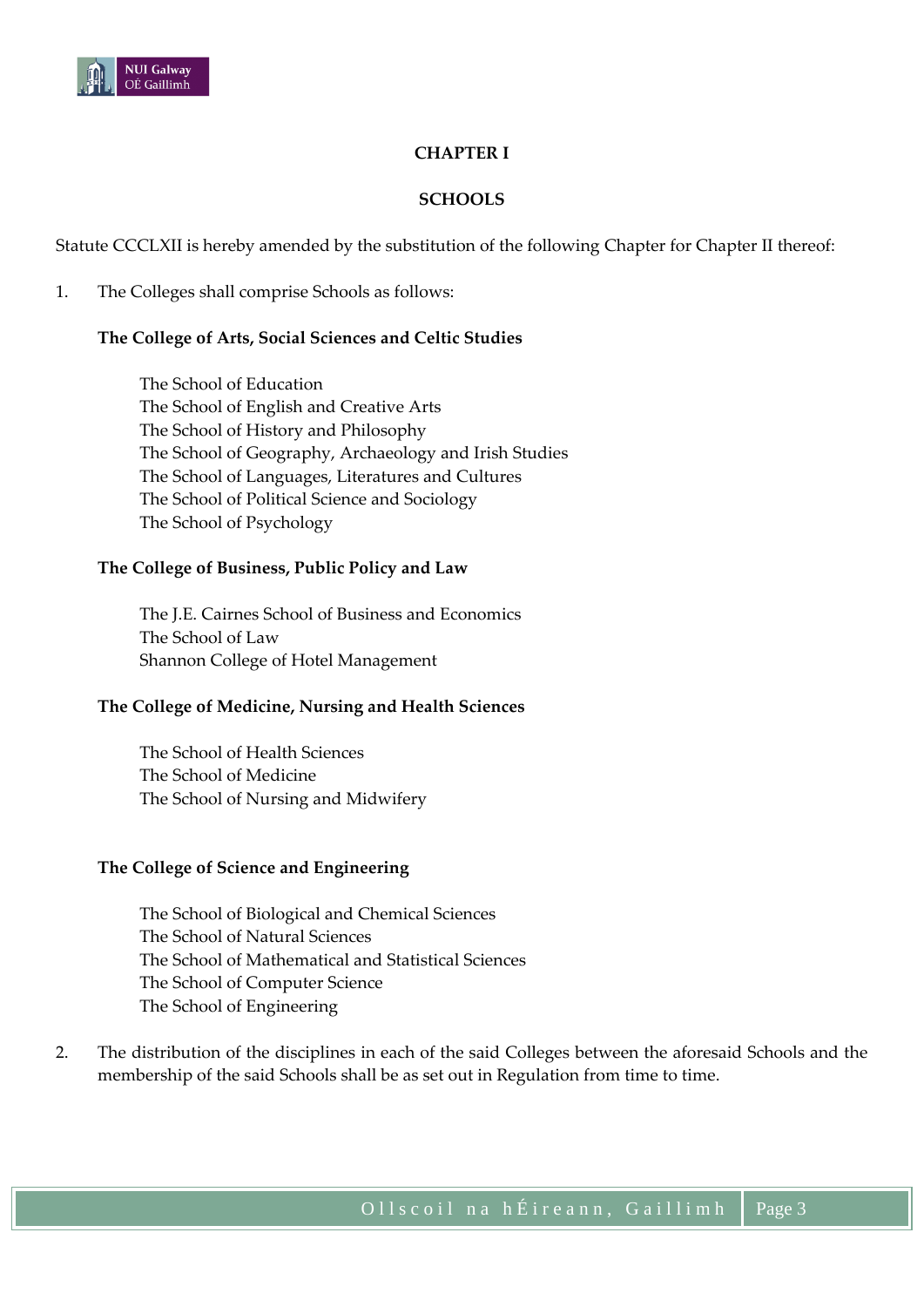

# **CHAPTER I**

### **SCHOOLS**

Statute CCCLXII is hereby amended by the substitution of the following Chapter for Chapter II thereof:

1. The Colleges shall comprise Schools as follows:

## **The College of Arts, Social Sciences and Celtic Studies**

The School of Education The School of English and Creative Arts The School of History and Philosophy The School of Geography, Archaeology and Irish Studies The School of Languages, Literatures and Cultures The School of Political Science and Sociology The School of Psychology

#### **The College of Business, Public Policy and Law**

The J.E. Cairnes School of Business and Economics The School of Law Shannon College of Hotel Management

#### **The College of Medicine, Nursing and Health Sciences**

The School of Health Sciences The School of Medicine The School of Nursing and Midwifery

#### **The College of Science and Engineering**

The School of Biological and Chemical Sciences The School of Natural Sciences The School of Mathematical and Statistical Sciences The School of Computer Science The School of Engineering

2. The distribution of the disciplines in each of the said Colleges between the aforesaid Schools and the membership of the said Schools shall be as set out in Regulation from time to time.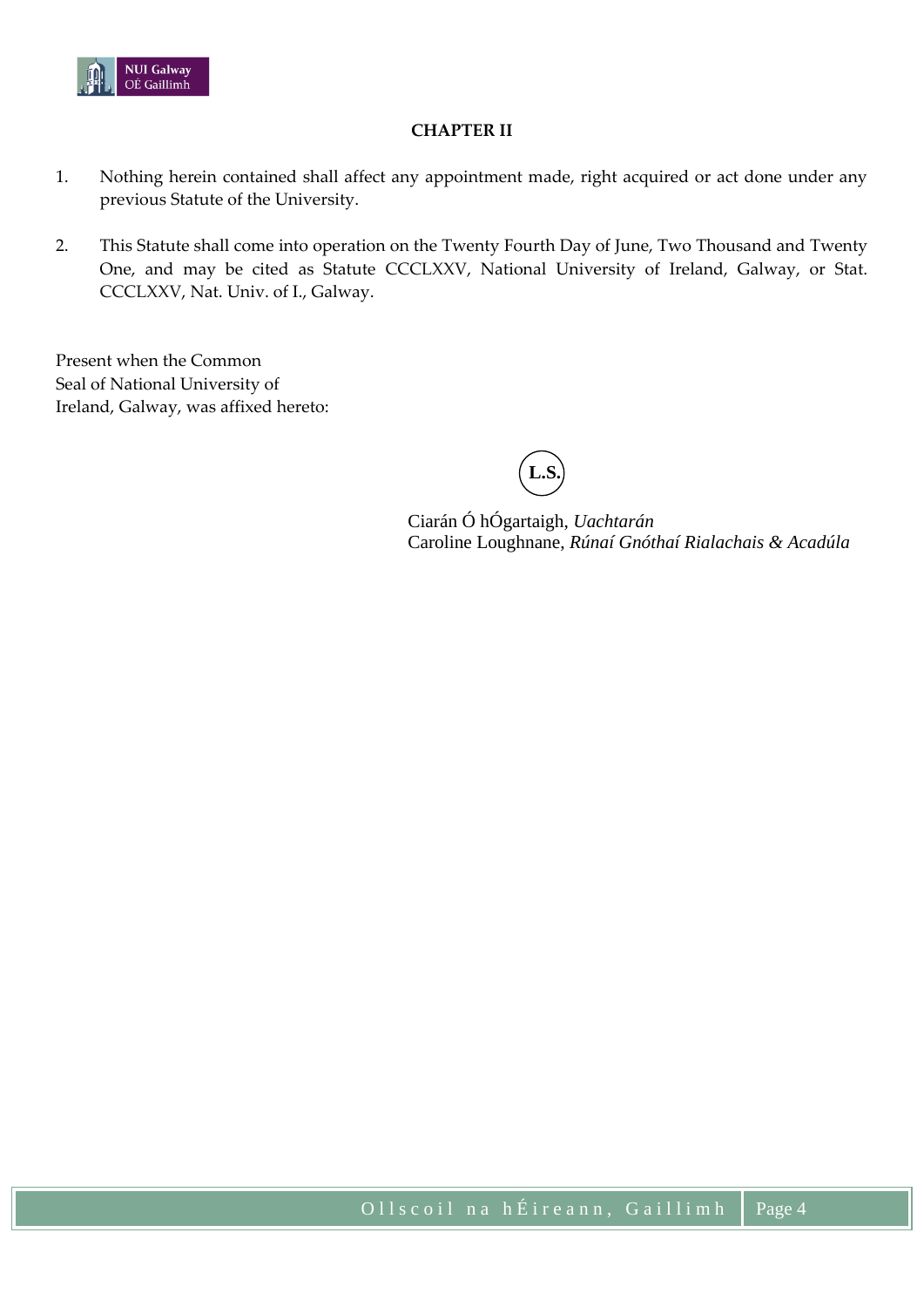

## **CHAPTER II**

- 1. Nothing herein contained shall affect any appointment made, right acquired or act done under any previous Statute of the University.
- 2. This Statute shall come into operation on the Twenty Fourth Day of June, Two Thousand and Twenty One, and may be cited as Statute CCCLXXV, National University of Ireland, Galway, or Stat. CCCLXXV, Nat. Univ. of I., Galway.

Present when the Common Seal of National University of Ireland, Galway, was affixed hereto:

**L.S.**

Ciarán Ó hÓgartaigh, *Uachtarán* Caroline Loughnane, *Rúnaí Gnóthaí Rialachais & Acadúla*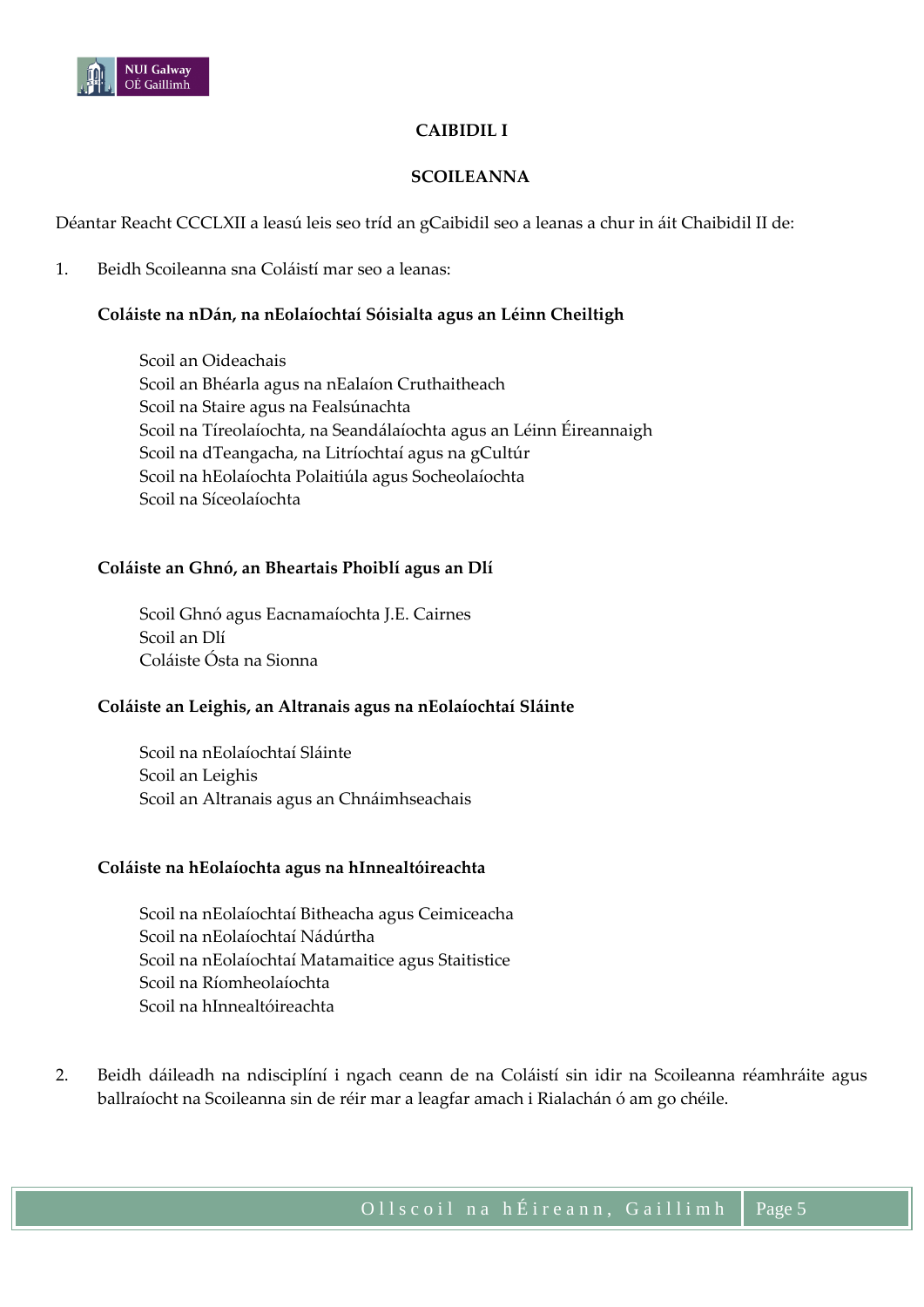

## **CAIBIDIL I**

## **SCOILEANNA**

Déantar Reacht CCCLXII a leasú leis seo tríd an gCaibidil seo a leanas a chur in áit Chaibidil II de:

1. Beidh Scoileanna sna Coláistí mar seo a leanas:

## **Coláiste na nDán, na nEolaíochtaí Sóisialta agus an Léinn Cheiltigh**

Scoil an Oideachais Scoil an Bhéarla agus na nEalaíon Cruthaitheach Scoil na Staire agus na Fealsúnachta Scoil na Tíreolaíochta, na Seandálaíochta agus an Léinn Éireannaigh Scoil na dTeangacha, na Litríochtaí agus na gCultúr Scoil na hEolaíochta Polaitiúla agus Socheolaíochta Scoil na Síceolaíochta

#### **Coláiste an Ghnó, an Bheartais Phoiblí agus an Dlí**

Scoil Ghnó agus Eacnamaíochta J.E. Cairnes Scoil an Dlí Coláiste Ósta na Sionna

#### **Coláiste an Leighis, an Altranais agus na nEolaíochtaí Sláinte**

Scoil na nEolaíochtaí Sláinte Scoil an Leighis Scoil an Altranais agus an Chnáimhseachais

#### **Coláiste na hEolaíochta agus na hInnealtóireachta**

Scoil na nEolaíochtaí Bitheacha agus Ceimiceacha Scoil na nEolaíochtaí Nádúrtha Scoil na nEolaíochtaí Matamaitice agus Staitistice Scoil na Ríomheolaíochta Scoil na hInnealtóireachta

2. Beidh dáileadh na ndisciplíní i ngach ceann de na Coláistí sin idir na Scoileanna réamhráite agus ballraíocht na Scoileanna sin de réir mar a leagfar amach i Rialachán ó am go chéile.